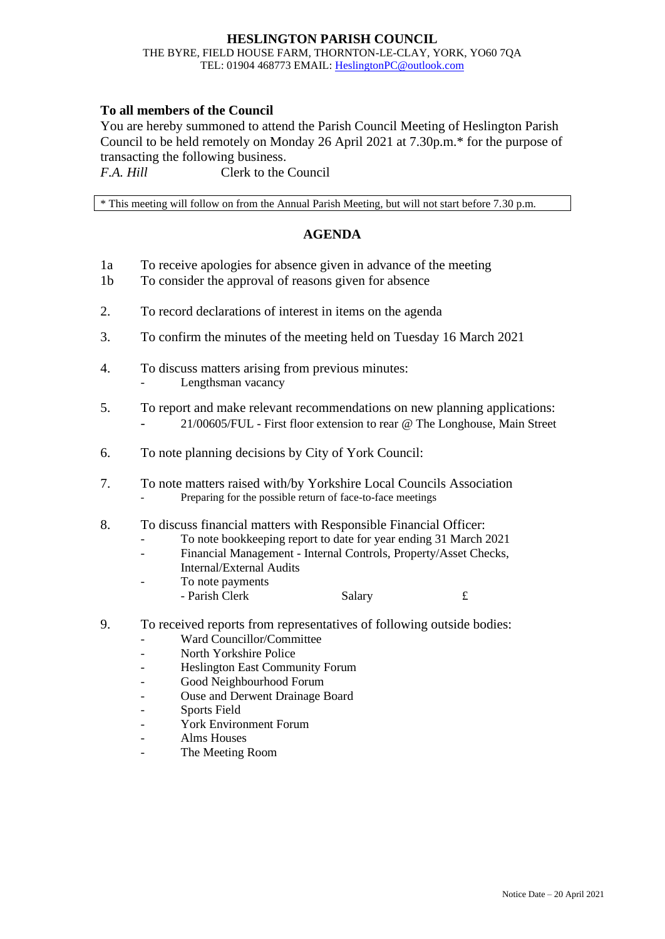## **HESLINGTON PARISH COUNCIL** THE BYRE, FIELD HOUSE FARM, THORNTON-LE-CLAY, YORK, YO60 7QA TEL: 01904 468773 EMAIL: [HeslingtonPC@outlook.com](mailto:HeslingtonPC@outlook.com)

## **To all members of the Council**

You are hereby summoned to attend the Parish Council Meeting of Heslington Parish Council to be held remotely on Monday 26 April 2021 at 7.30p.m.\* for the purpose of transacting the following business.

*F.A. Hill* Clerk to the Council

\* This meeting will follow on from the Annual Parish Meeting, but will not start before 7.30 p.m.

## **AGENDA**

- 1a To receive apologies for absence given in advance of the meeting
- 1b To consider the approval of reasons given for absence
- 2. To record declarations of interest in items on the agenda
- 3. To confirm the minutes of the meeting held on Tuesday 16 March 2021
- 4. To discuss matters arising from previous minutes:
	- Lengthsman vacancy
- 5. To report and make relevant recommendations on new planning applications: - 21/00605/FUL - First floor extension to rear @ The Longhouse, Main Street
- 6. To note planning decisions by City of York Council:
- 7. To note matters raised with/by Yorkshire Local Councils Association Preparing for the possible return of face-to-face meetings
- 8. To discuss financial matters with Responsible Financial Officer:
	- To note bookkeeping report to date for year ending 31 March 2021
	- Financial Management Internal Controls, Property/Asset Checks, Internal/External Audits
	- To note payments
	- Parish Clerk Salary 5.
- 9. To received reports from representatives of following outside bodies:
	- Ward Councillor/Committee
	- North Yorkshire Police
	- Heslington East Community Forum
	- Good Neighbourhood Forum
	- Ouse and Derwent Drainage Board
	- Sports Field
	- York Environment Forum
	- Alms Houses
	- The Meeting Room